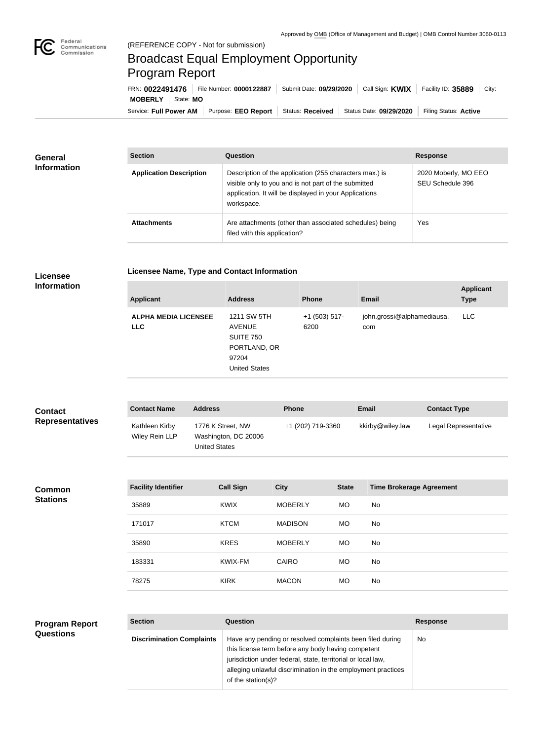

## Broadcast Equal Employment Opportunity Program Report

**Licensee Name, Type and Contact Information**

Service: Full Power AM | Purpose: EEO Report | Status: Received | Status Date: 09/29/2020 | Filing Status: Active **MOBERLY** State: **MO** FRN: **0022491476** File Number: **0000122887** Submit Date: **09/29/2020** Call Sign: **KWIX** Facility ID: **35889** City:

| <b>General</b><br><b>Information</b> | <b>Section</b>                 | Question                                                                                                                                                                                | <b>Response</b>                          |  |
|--------------------------------------|--------------------------------|-----------------------------------------------------------------------------------------------------------------------------------------------------------------------------------------|------------------------------------------|--|
|                                      | <b>Application Description</b> | Description of the application (255 characters max.) is<br>visible only to you and is not part of the submitted<br>application. It will be displayed in your Applications<br>workspace. | 2020 Moberly, MO EEO<br>SEU Schedule 396 |  |
|                                      | <b>Attachments</b>             | Are attachments (other than associated schedules) being<br>filed with this application?                                                                                                 | Yes                                      |  |

## **Licensee Information**

| john.grossi@alphamediausa.<br><b>ALPHA MEDIA LICENSEE</b><br>1211 SW 5TH<br>LLC.<br>$+1$ (503) 517-<br><b>AVENUE</b><br>6200<br><b>LLC</b><br>com<br><b>SUITE 750</b><br>PORTLAND, OR<br>97204<br><b>United States</b> | <b>Applicant</b> | <b>Address</b> | <b>Phone</b> | <b>Email</b> | <b>Applicant</b><br><b>Type</b> |
|------------------------------------------------------------------------------------------------------------------------------------------------------------------------------------------------------------------------|------------------|----------------|--------------|--------------|---------------------------------|
|                                                                                                                                                                                                                        |                  |                |              |              |                                 |

| <b>Contact</b><br><b>Representatives</b> | <b>Contact Name</b>              | <b>Address</b>                                                    | <b>Phone</b>      |              | <b>Email</b>                    | <b>Contact Type</b>  |
|------------------------------------------|----------------------------------|-------------------------------------------------------------------|-------------------|--------------|---------------------------------|----------------------|
|                                          | Kathleen Kirby<br>Wiley Rein LLP | 1776 K Street, NW<br>Washington, DC 20006<br><b>United States</b> | +1 (202) 719-3360 |              | kkirby@wiley.law                | Legal Representative |
|                                          |                                  |                                                                   |                   |              |                                 |                      |
| <b>Common</b><br><b>Stations</b>         | <b>Facility Identifier</b>       | <b>Call Sign</b>                                                  | <b>City</b>       | <b>State</b> | <b>Time Brokerage Agreement</b> |                      |
|                                          | 35889                            | <b>KWIX</b>                                                       | <b>MOBERLY</b>    | MO           | No                              |                      |
|                                          | 171017                           | <b>KTCM</b>                                                       | <b>MADISON</b>    | MO           | No                              |                      |
|                                          | 35890                            | <b>KRES</b>                                                       | <b>MOBERLY</b>    | <b>MO</b>    | No                              |                      |
|                                          | 183331                           | KWIX-FM                                                           | CAIRO             | MO           | No                              |                      |
|                                          | 78275                            | <b>KIRK</b>                                                       | <b>MACON</b>      | <b>MO</b>    | No                              |                      |
|                                          |                                  |                                                                   |                   |              |                                 |                      |
|                                          |                                  |                                                                   |                   |              |                                 |                      |

| <b>Program Report</b> | <b>Section</b>                   | Question                                                     | <b>Response</b> |
|-----------------------|----------------------------------|--------------------------------------------------------------|-----------------|
| <b>Questions</b>      | <b>Discrimination Complaints</b> | Have any pending or resolved complaints been filed during    | No.             |
|                       |                                  | this license term before any body having competent           |                 |
|                       |                                  | jurisdiction under federal, state, territorial or local law, |                 |
|                       |                                  | alleging unlawful discrimination in the employment practices |                 |
|                       |                                  | of the station(s)?                                           |                 |